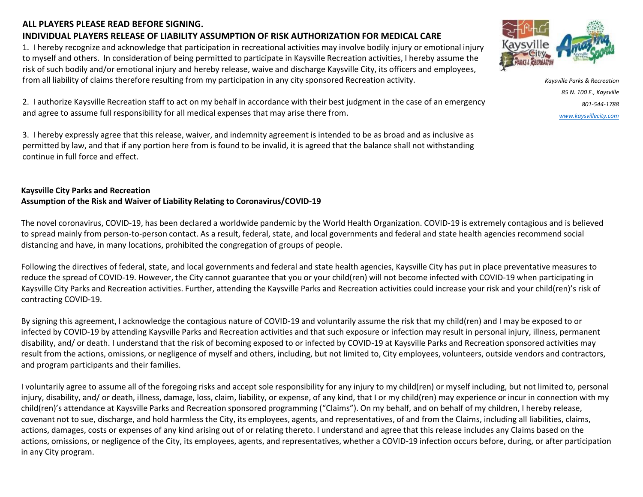## **ALL PLAYERS PLEASE READ BEFORE SIGNING. INDIVIDUAL PLAYERS RELEASE OF LIABILITY ASSUMPTION OF RISK AUTHORIZATION FOR MEDICAL CARE**

1. I hereby recognize and acknowledge that participation in recreational activities may involve bodily injury or emotional injury to myself and others. In consideration of being permitted to participate in Kaysville Recreation activities, I hereby assume the risk of such bodily and/or emotional injury and hereby release, waive and discharge Kaysville City, its officers and employees, from all liability of claims therefore resulting from my participation in any city sponsored Recreation activity.

2. I authorize Kaysville Recreation staff to act on my behalf in accordance with their best judgment in the case of an emergency and agree to assume full responsibility for all medical expenses that may arise there from.

3. I hereby expressly agree that this release, waiver, and indemnity agreement is intended to be as broad and as inclusive as permitted by law, and that if any portion here from is found to be invalid, it is agreed that the balance shall not withstanding continue in full force and effect.

## **Kaysville City Parks and Recreation**

## **Assumption of the Risk and Waiver of Liability Relating to Coronavirus/COVID-19**

The novel coronavirus, COVID-19, has been declared a worldwide pandemic by the World Health Organization. COVID-19 is extremely contagious and is believed to spread mainly from person-to-person contact. As a result, federal, state, and local governments and federal and state health agencies recommend social distancing and have, in many locations, prohibited the congregation of groups of people.

Following the directives of federal, state, and local governments and federal and state health agencies, Kaysville City has put in place preventative measures to reduce the spread of COVID-19. However, the City cannot guarantee that you or your child(ren) will not become infected with COVID-19 when participating in Kaysville City Parks and Recreation activities. Further, attending the Kaysville Parks and Recreation activities could increase your risk and your child(ren)'s risk of contracting COVID-19.

By signing this agreement, I acknowledge the contagious nature of COVID-19 and voluntarily assume the risk that my child(ren) and I may be exposed to or infected by COVID-19 by attending Kaysville Parks and Recreation activities and that such exposure or infection may result in personal injury, illness, permanent disability, and/ or death. I understand that the risk of becoming exposed to or infected by COVID-19 at Kaysville Parks and Recreation sponsored activities may result from the actions, omissions, or negligence of myself and others, including, but not limited to, City employees, volunteers, outside vendors and contractors, and program participants and their families.

I voluntarily agree to assume all of the foregoing risks and accept sole responsibility for any injury to my child(ren) or myself including, but not limited to, personal injury, disability, and/ or death, illness, damage, loss, claim, liability, or expense, of any kind, that I or my child(ren) may experience or incur in connection with my child(ren)'s attendance at Kaysville Parks and Recreation sponsored programming ("Claims"). On my behalf, and on behalf of my children, I hereby release, covenant not to sue, discharge, and hold harmless the City, its employees, agents, and representatives, of and from the Claims, including all liabilities, claims, actions, damages, costs or expenses of any kind arising out of or relating thereto. I understand and agree that this release includes any Claims based on the actions, omissions, or negligence of the City, its employees, agents, and representatives, whether a COVID-19 infection occurs before, during, or after participation in any City program.



*Kaysville Parks & Recreation 85 N. 100 E., Kaysville 801-544-1788 [www.kaysvillecity.com](http://www.kaysvillecity.com/)*